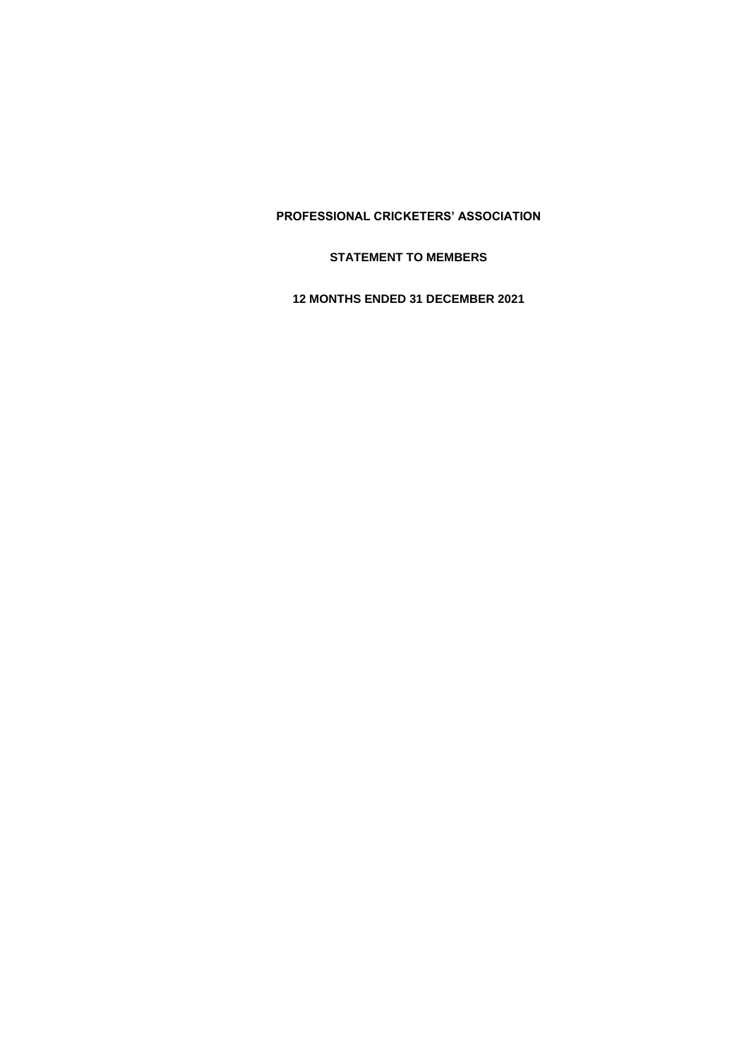**STATEMENT TO MEMBERS**

**12 MONTHS ENDED 31 DECEMBER 2021**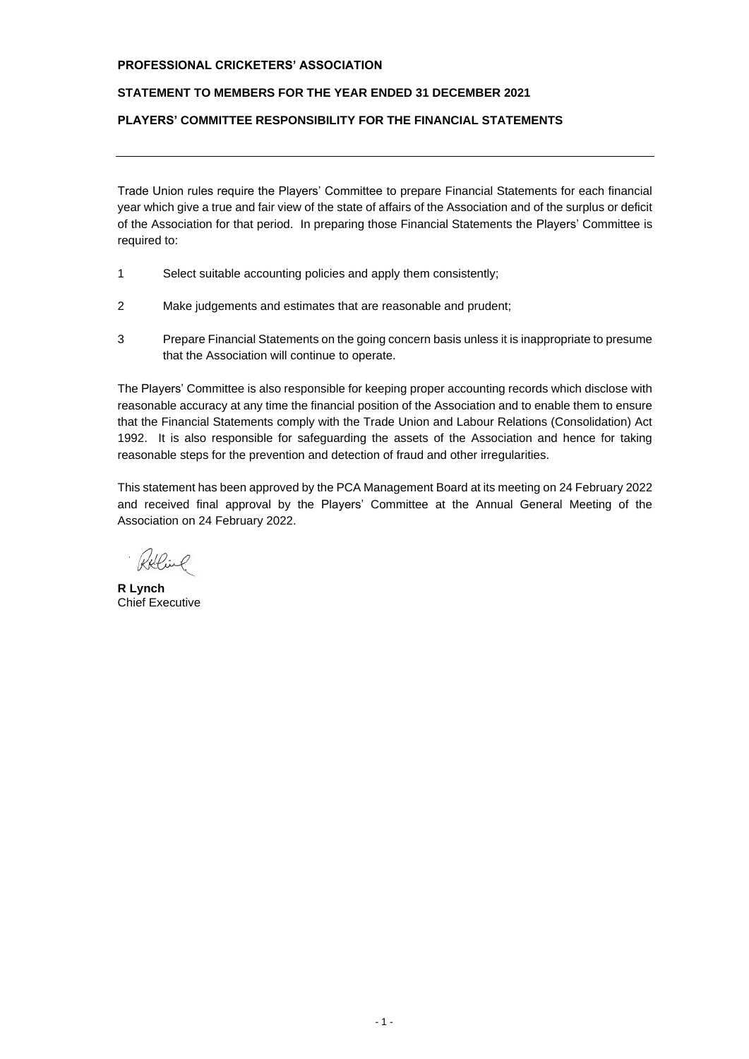# **STATEMENT TO MEMBERS FOR THE YEAR ENDED 31 DECEMBER 2021**

# **PLAYERS' COMMITTEE RESPONSIBILITY FOR THE FINANCIAL STATEMENTS**

Trade Union rules require the Players' Committee to prepare Financial Statements for each financial year which give a true and fair view of the state of affairs of the Association and of the surplus or deficit of the Association for that period. In preparing those Financial Statements the Players' Committee is required to:

- 1 Select suitable accounting policies and apply them consistently;
- 2 Make judgements and estimates that are reasonable and prudent;
- 3 Prepare Financial Statements on the going concern basis unless it is inappropriate to presume that the Association will continue to operate.

The Players' Committee is also responsible for keeping proper accounting records which disclose with reasonable accuracy at any time the financial position of the Association and to enable them to ensure that the Financial Statements comply with the Trade Union and Labour Relations (Consolidation) Act 1992. It is also responsible for safeguarding the assets of the Association and hence for taking reasonable steps for the prevention and detection of fraud and other irregularities.

This statement has been approved by the PCA Management Board at its meeting on 24 February 2022 and received final approval by the Players' Committee at the Annual General Meeting of the Association on 24 February 2022.

Willie

**R Lynch** Chief Executive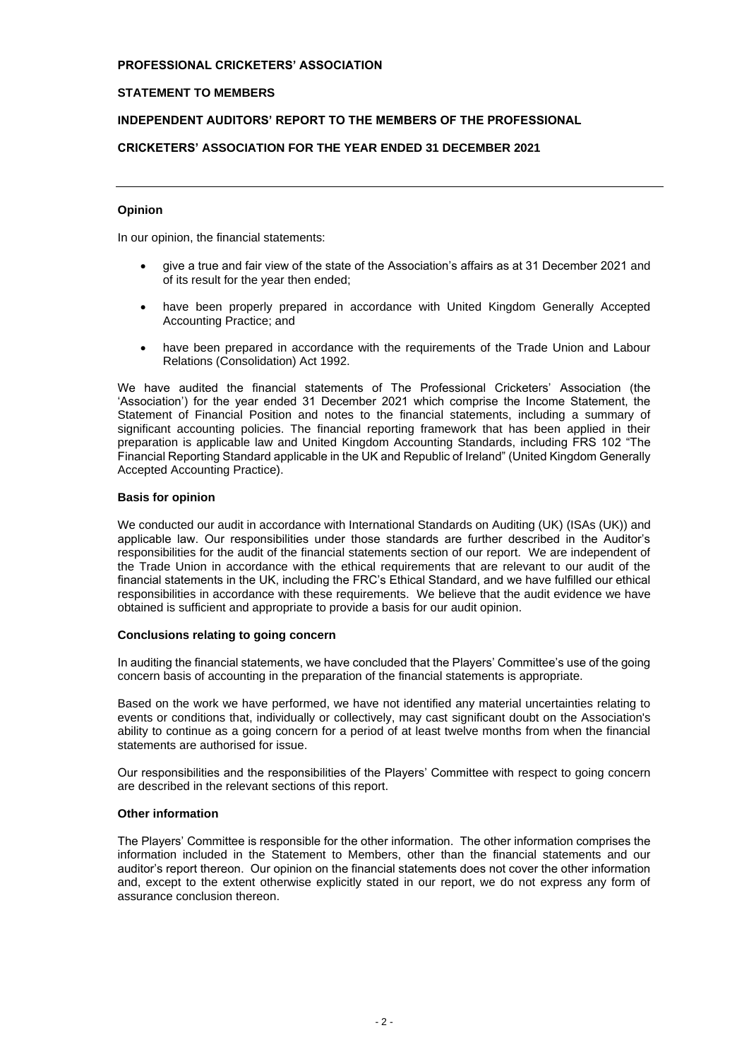# **STATEMENT TO MEMBERS**

# **INDEPENDENT AUDITORS' REPORT TO THE MEMBERS OF THE PROFESSIONAL**

# **CRICKETERS' ASSOCIATION FOR THE YEAR ENDED 31 DECEMBER 2021**

## **Opinion**

In our opinion, the financial statements:

- give a true and fair view of the state of the Association's affairs as at 31 December 2021 and of its result for the year then ended;
- have been properly prepared in accordance with United Kingdom Generally Accepted Accounting Practice; and
- have been prepared in accordance with the requirements of the Trade Union and Labour Relations (Consolidation) Act 1992.

We have audited the financial statements of The Professional Cricketers' Association (the 'Association') for the year ended 31 December 2021 which comprise the Income Statement, the Statement of Financial Position and notes to the financial statements, including a summary of significant accounting policies. The financial reporting framework that has been applied in their preparation is applicable law and United Kingdom Accounting Standards, including FRS 102 "The Financial Reporting Standard applicable in the UK and Republic of Ireland" (United Kingdom Generally Accepted Accounting Practice).

### **Basis for opinion**

We conducted our audit in accordance with International Standards on Auditing (UK) (ISAs (UK)) and applicable law. Our responsibilities under those standards are further described in the Auditor's responsibilities for the audit of the financial statements section of our report. We are independent of the Trade Union in accordance with the ethical requirements that are relevant to our audit of the financial statements in the UK, including the FRC's Ethical Standard, and we have fulfilled our ethical responsibilities in accordance with these requirements. We believe that the audit evidence we have obtained is sufficient and appropriate to provide a basis for our audit opinion.

## **Conclusions relating to going concern**

In auditing the financial statements, we have concluded that the Players' Committee's use of the going concern basis of accounting in the preparation of the financial statements is appropriate.

Based on the work we have performed, we have not identified any material uncertainties relating to events or conditions that, individually or collectively, may cast significant doubt on the Association's ability to continue as a going concern for a period of at least twelve months from when the financial statements are authorised for issue.

Our responsibilities and the responsibilities of the Players' Committee with respect to going concern are described in the relevant sections of this report.

## **Other information**

The Players' Committee is responsible for the other information. The other information comprises the information included in the Statement to Members, other than the financial statements and our auditor's report thereon. Our opinion on the financial statements does not cover the other information and, except to the extent otherwise explicitly stated in our report, we do not express any form of assurance conclusion thereon.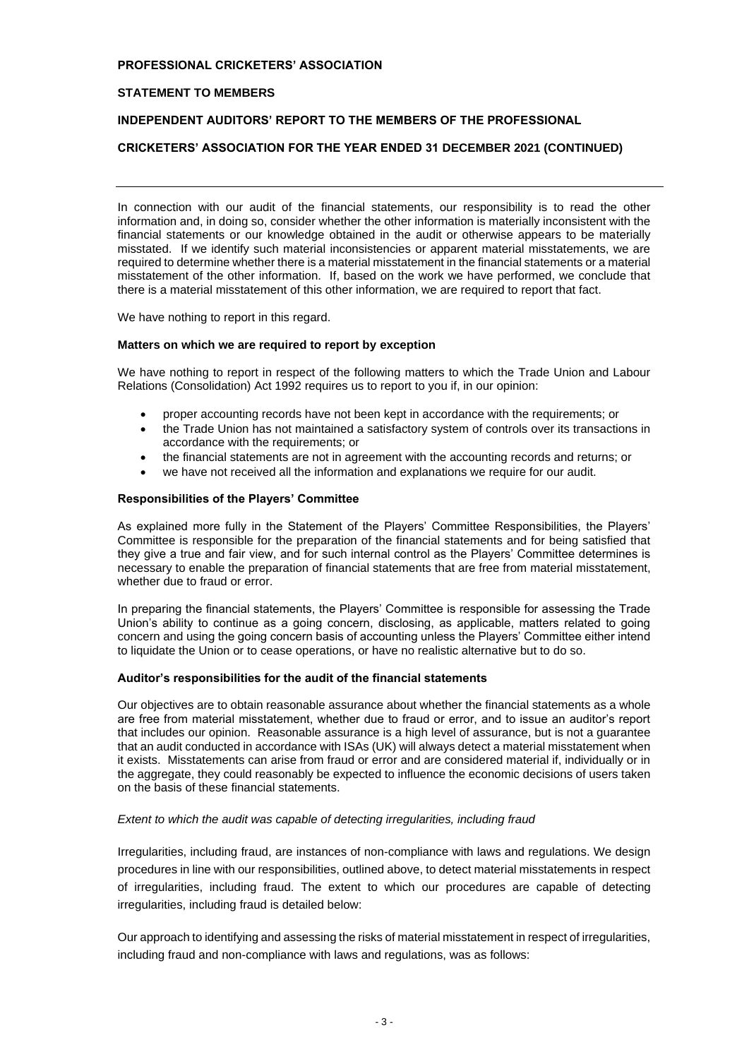## **STATEMENT TO MEMBERS**

## **INDEPENDENT AUDITORS' REPORT TO THE MEMBERS OF THE PROFESSIONAL**

### **CRICKETERS' ASSOCIATION FOR THE YEAR ENDED 31 DECEMBER 2021 (CONTINUED)**

In connection with our audit of the financial statements, our responsibility is to read the other information and, in doing so, consider whether the other information is materially inconsistent with the financial statements or our knowledge obtained in the audit or otherwise appears to be materially misstated. If we identify such material inconsistencies or apparent material misstatements, we are required to determine whether there is a material misstatement in the financial statements or a material misstatement of the other information. If, based on the work we have performed, we conclude that there is a material misstatement of this other information, we are required to report that fact.

We have nothing to report in this regard.

#### **Matters on which we are required to report by exception**

We have nothing to report in respect of the following matters to which the Trade Union and Labour Relations (Consolidation) Act 1992 requires us to report to you if, in our opinion:

- proper accounting records have not been kept in accordance with the requirements; or
- the Trade Union has not maintained a satisfactory system of controls over its transactions in accordance with the requirements; or
- the financial statements are not in agreement with the accounting records and returns; or
- we have not received all the information and explanations we require for our audit.

#### **Responsibilities of the Players' Committee**

As explained more fully in the Statement of the Players' Committee Responsibilities, the Players' Committee is responsible for the preparation of the financial statements and for being satisfied that they give a true and fair view, and for such internal control as the Players' Committee determines is necessary to enable the preparation of financial statements that are free from material misstatement, whether due to fraud or error.

In preparing the financial statements, the Players' Committee is responsible for assessing the Trade Union's ability to continue as a going concern, disclosing, as applicable, matters related to going concern and using the going concern basis of accounting unless the Players' Committee either intend to liquidate the Union or to cease operations, or have no realistic alternative but to do so.

#### **Auditor's responsibilities for the audit of the financial statements**

Our objectives are to obtain reasonable assurance about whether the financial statements as a whole are free from material misstatement, whether due to fraud or error, and to issue an auditor's report that includes our opinion. Reasonable assurance is a high level of assurance, but is not a guarantee that an audit conducted in accordance with ISAs (UK) will always detect a material misstatement when it exists. Misstatements can arise from fraud or error and are considered material if, individually or in the aggregate, they could reasonably be expected to influence the economic decisions of users taken on the basis of these financial statements.

#### *Extent to which the audit was capable of detecting irregularities, including fraud*

Irregularities, including fraud, are instances of non-compliance with laws and regulations. We design procedures in line with our responsibilities, outlined above, to detect material misstatements in respect of irregularities, including fraud. The extent to which our procedures are capable of detecting irregularities, including fraud is detailed below:

Our approach to identifying and assessing the risks of material misstatement in respect of irregularities, including fraud and non-compliance with laws and regulations, was as follows: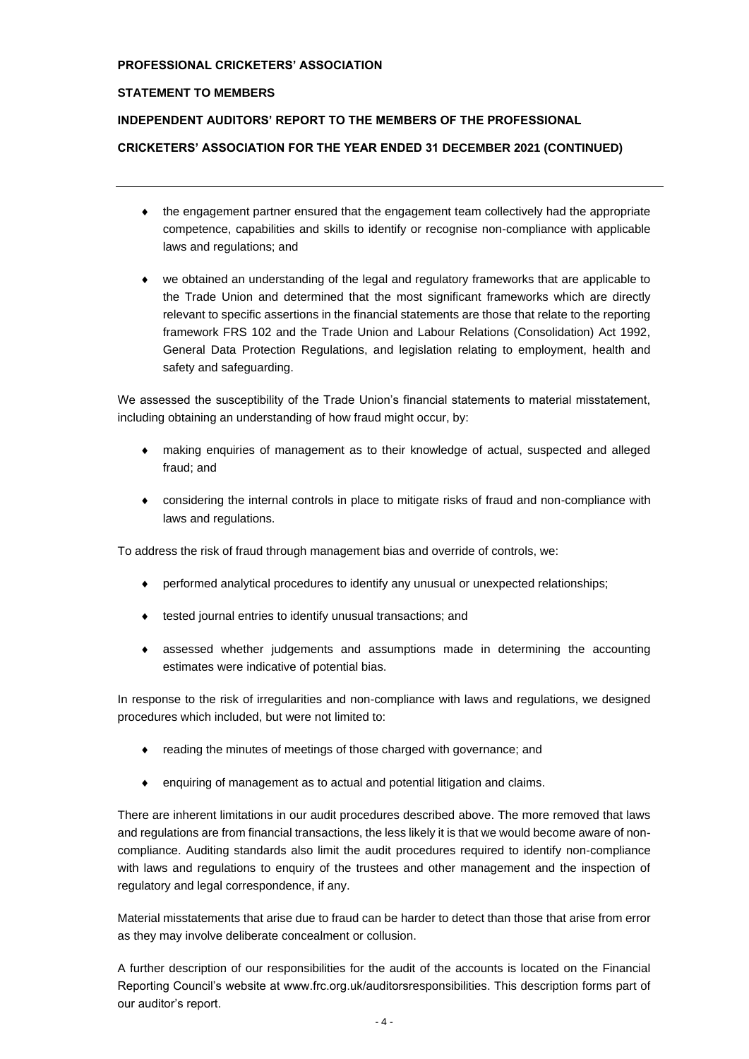## **STATEMENT TO MEMBERS**

# **INDEPENDENT AUDITORS' REPORT TO THE MEMBERS OF THE PROFESSIONAL**

# **CRICKETERS' ASSOCIATION FOR THE YEAR ENDED 31 DECEMBER 2021 (CONTINUED)**

- $\bullet$  the engagement partner ensured that the engagement team collectively had the appropriate competence, capabilities and skills to identify or recognise non-compliance with applicable laws and regulations; and
- we obtained an understanding of the legal and regulatory frameworks that are applicable to the Trade Union and determined that the most significant frameworks which are directly relevant to specific assertions in the financial statements are those that relate to the reporting framework FRS 102 and the Trade Union and Labour Relations (Consolidation) Act 1992, General Data Protection Regulations, and legislation relating to employment, health and safety and safeguarding.

We assessed the susceptibility of the Trade Union's financial statements to material misstatement, including obtaining an understanding of how fraud might occur, by:

- making enquiries of management as to their knowledge of actual, suspected and alleged fraud; and
- considering the internal controls in place to mitigate risks of fraud and non-compliance with laws and regulations.

To address the risk of fraud through management bias and override of controls, we:

- performed analytical procedures to identify any unusual or unexpected relationships;
- tested journal entries to identify unusual transactions; and
- assessed whether judgements and assumptions made in determining the accounting estimates were indicative of potential bias.

In response to the risk of irregularities and non-compliance with laws and regulations, we designed procedures which included, but were not limited to:

- reading the minutes of meetings of those charged with governance; and
- enquiring of management as to actual and potential litigation and claims.

There are inherent limitations in our audit procedures described above. The more removed that laws and regulations are from financial transactions, the less likely it is that we would become aware of noncompliance. Auditing standards also limit the audit procedures required to identify non-compliance with laws and regulations to enquiry of the trustees and other management and the inspection of regulatory and legal correspondence, if any.

Material misstatements that arise due to fraud can be harder to detect than those that arise from error as they may involve deliberate concealment or collusion.

A further description of our responsibilities for the audit of the accounts is located on the Financial Reporting Council's website at www.frc.org.uk/auditorsresponsibilities. This description forms part of our auditor's report.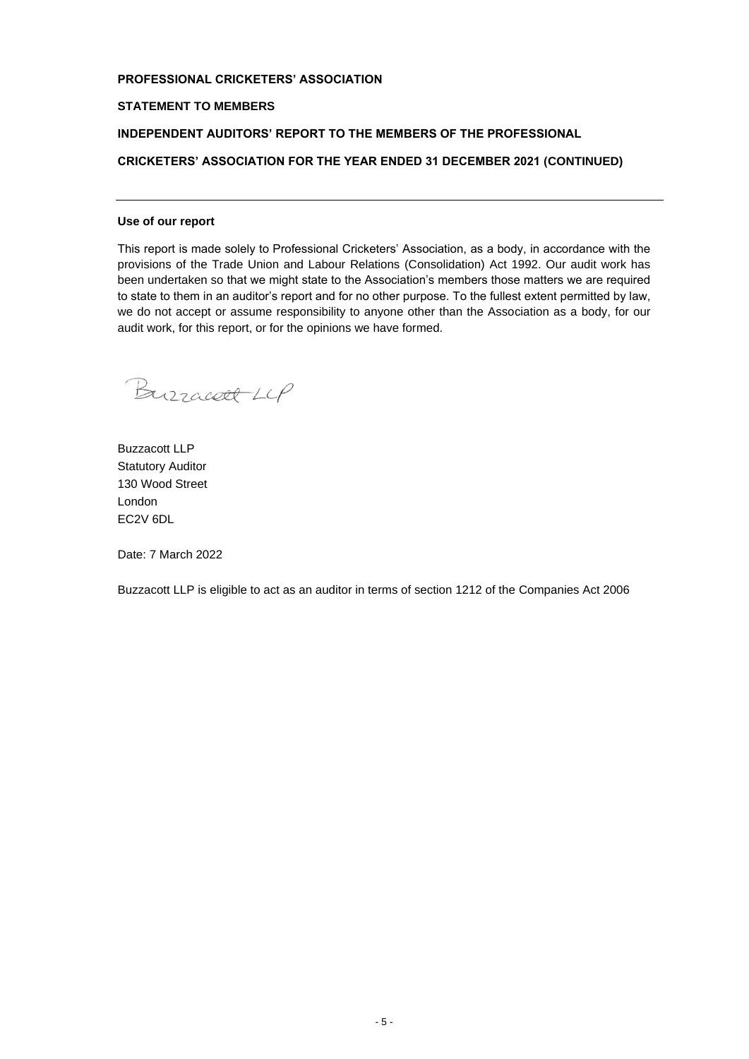## **STATEMENT TO MEMBERS**

## **INDEPENDENT AUDITORS' REPORT TO THE MEMBERS OF THE PROFESSIONAL**

**CRICKETERS' ASSOCIATION FOR THE YEAR ENDED 31 DECEMBER 2021 (CONTINUED)**

#### **Use of our report**

This report is made solely to Professional Cricketers' Association, as a body, in accordance with the provisions of the Trade Union and Labour Relations (Consolidation) Act 1992. Our audit work has been undertaken so that we might state to the Association's members those matters we are required to state to them in an auditor's report and for no other purpose. To the fullest extent permitted by law, we do not accept or assume responsibility to anyone other than the Association as a body, for our audit work, for this report, or for the opinions we have formed.

Burracett LCP

Buzzacott LLP Statutory Auditor 130 Wood Street London EC2V 6DL

Date: 7 March 2022

Buzzacott LLP is eligible to act as an auditor in terms of section 1212 of the Companies Act 2006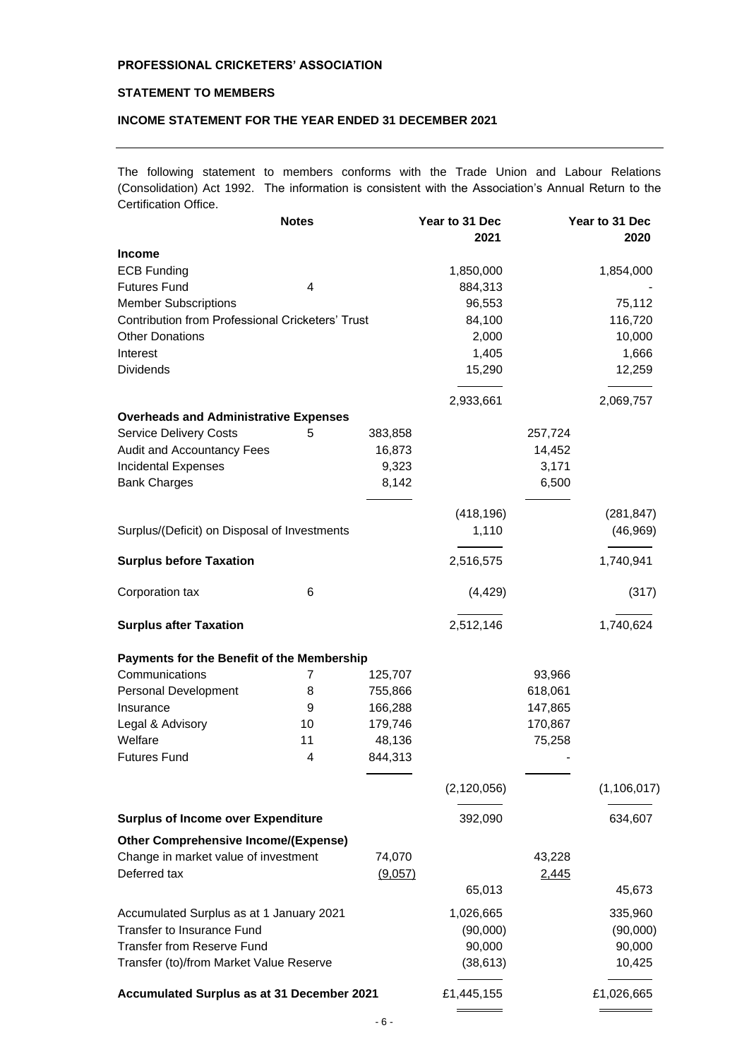# **STATEMENT TO MEMBERS**

# **INCOME STATEMENT FOR THE YEAR ENDED 31 DECEMBER 2021**

The following statement to members conforms with the Trade Union and Labour Relations (Consolidation) Act 1992. The information is consistent with the Association's Annual Return to the Certification Office.

|                                                         | <b>Notes</b>   |         | Year to 31 Dec |              | Year to 31 Dec |
|---------------------------------------------------------|----------------|---------|----------------|--------------|----------------|
|                                                         |                |         | 2021           |              | 2020           |
| <b>Income</b>                                           |                |         |                |              |                |
| <b>ECB Funding</b>                                      |                |         | 1,850,000      |              | 1,854,000      |
| <b>Futures Fund</b>                                     | 4              |         | 884,313        |              |                |
| <b>Member Subscriptions</b>                             |                |         | 96,553         |              | 75,112         |
| <b>Contribution from Professional Cricketers' Trust</b> |                |         | 84,100         |              | 116,720        |
| <b>Other Donations</b>                                  |                |         | 2,000          |              | 10,000         |
| Interest                                                |                |         | 1,405          |              | 1,666          |
| <b>Dividends</b>                                        |                |         | 15,290         |              | 12,259         |
|                                                         |                |         | 2,933,661      |              | 2,069,757      |
| <b>Overheads and Administrative Expenses</b>            |                |         |                |              |                |
| <b>Service Delivery Costs</b>                           | 5              | 383,858 |                | 257,724      |                |
| Audit and Accountancy Fees                              |                | 16,873  |                | 14,452       |                |
| <b>Incidental Expenses</b>                              |                | 9,323   |                | 3,171        |                |
| <b>Bank Charges</b>                                     |                | 8,142   |                | 6,500        |                |
|                                                         |                |         | (418, 196)     |              | (281, 847)     |
| Surplus/(Deficit) on Disposal of Investments            |                |         | 1,110          |              | (46, 969)      |
| <b>Surplus before Taxation</b>                          |                |         | 2,516,575      |              | 1,740,941      |
| Corporation tax                                         | 6              |         | (4, 429)       |              | (317)          |
| <b>Surplus after Taxation</b>                           |                |         | 2,512,146      |              | 1,740,624      |
| Payments for the Benefit of the Membership              |                |         |                |              |                |
| Communications                                          | $\overline{7}$ | 125,707 |                | 93,966       |                |
| Personal Development                                    | 8              | 755,866 |                | 618,061      |                |
| Insurance                                               | 9              | 166,288 |                | 147,865      |                |
| Legal & Advisory                                        | 10             | 179,746 |                | 170,867      |                |
| Welfare                                                 | 11             | 48,136  |                | 75,258       |                |
| <b>Futures Fund</b>                                     | 4              | 844,313 |                |              |                |
|                                                         |                |         | (2, 120, 056)  |              | (1, 106, 017)  |
|                                                         |                |         |                |              |                |
| <b>Surplus of Income over Expenditure</b>               |                |         | 392,090        |              | 634,607        |
| <b>Other Comprehensive Income/(Expense)</b>             |                |         |                |              |                |
| Change in market value of investment                    |                | 74,070  |                | 43,228       |                |
| Deferred tax                                            |                | (9,057) |                | <u>2,445</u> |                |
|                                                         |                |         | 65,013         |              | 45,673         |
| Accumulated Surplus as at 1 January 2021                |                |         | 1,026,665      |              | 335,960        |
| Transfer to Insurance Fund                              |                |         | (90,000)       |              | (90,000)       |
| <b>Transfer from Reserve Fund</b>                       |                |         | 90,000         |              | 90,000         |
| Transfer (to)/from Market Value Reserve                 |                |         | (38, 613)      |              | 10,425         |
| Accumulated Surplus as at 31 December 2021              |                |         | £1,445,155     |              | £1,026,665     |
|                                                         |                |         |                |              |                |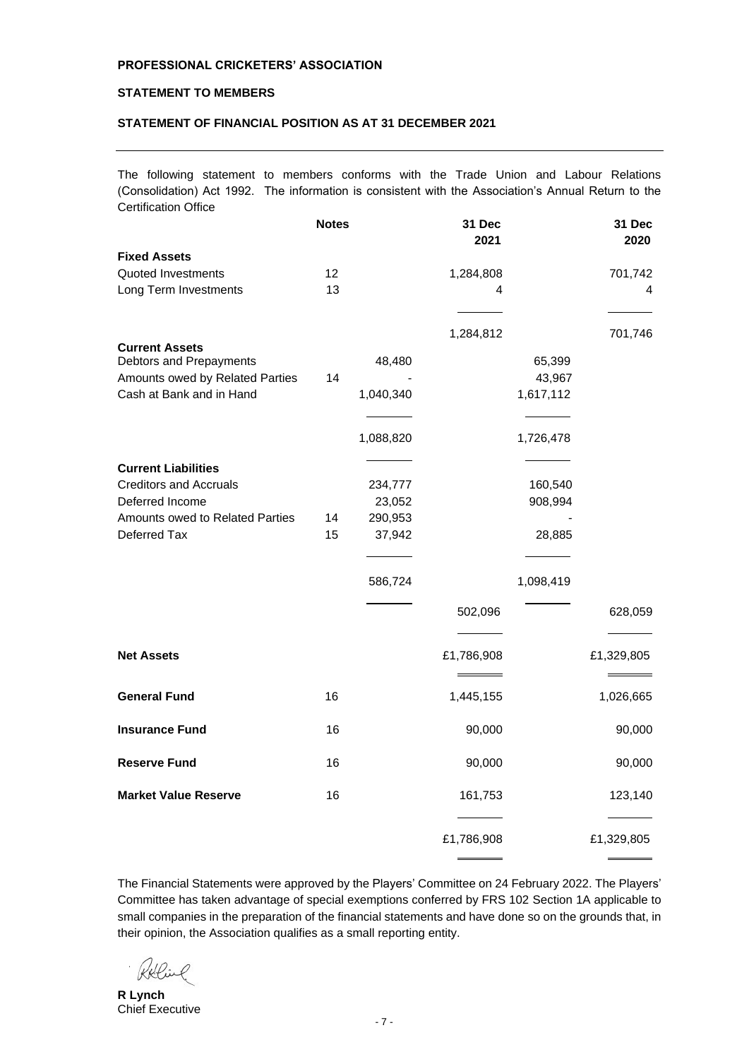# **STATEMENT TO MEMBERS**

# **STATEMENT OF FINANCIAL POSITION AS AT 31 DECEMBER 2021**

The following statement to members conforms with the Trade Union and Labour Relations (Consolidation) Act 1992. The information is consistent with the Association's Annual Return to the Certification Office

|                                                  | <b>Notes</b> |           | 31 Dec<br>2021 |           | 31 Dec<br>2020 |
|--------------------------------------------------|--------------|-----------|----------------|-----------|----------------|
| <b>Fixed Assets</b>                              |              |           |                |           |                |
| Quoted Investments                               | 12           |           | 1,284,808      |           | 701,742        |
| Long Term Investments                            | 13           |           | 4              |           | 4              |
|                                                  |              |           | 1,284,812      |           | 701,746        |
| <b>Current Assets</b><br>Debtors and Prepayments |              | 48,480    |                | 65,399    |                |
| Amounts owed by Related Parties                  | 14           |           |                | 43,967    |                |
| Cash at Bank and in Hand                         |              | 1,040,340 |                | 1,617,112 |                |
|                                                  |              |           |                |           |                |
|                                                  |              | 1,088,820 |                | 1,726,478 |                |
| <b>Current Liabilities</b>                       |              |           |                |           |                |
| <b>Creditors and Accruals</b>                    |              | 234,777   |                | 160,540   |                |
| Deferred Income                                  |              | 23,052    |                | 908,994   |                |
| Amounts owed to Related Parties                  | 14           | 290,953   |                |           |                |
| Deferred Tax                                     | 15           | 37,942    |                | 28,885    |                |
|                                                  |              |           |                |           |                |
|                                                  |              | 586,724   |                | 1,098,419 |                |
|                                                  |              |           | 502,096        |           | 628,059        |
|                                                  |              |           |                |           |                |
| <b>Net Assets</b>                                |              |           | £1,786,908     |           | £1,329,805     |
| <b>General Fund</b>                              | 16           |           | 1,445,155      |           | 1,026,665      |
| <b>Insurance Fund</b>                            | 16           |           | 90,000         |           | 90,000         |
| <b>Reserve Fund</b>                              | 16           |           | 90,000         |           | 90,000         |
| <b>Market Value Reserve</b>                      | 16           |           | 161,753        |           | 123,140        |
|                                                  |              |           | £1,786,908     |           | £1,329,805     |

The Financial Statements were approved by the Players' Committee on 24 February 2022. The Players' Committee has taken advantage of special exemptions conferred by FRS 102 Section 1A applicable to small companies in the preparation of the financial statements and have done so on the grounds that, in their opinion, the Association qualifies as a small reporting entity.

**R Lynch** Chief Executive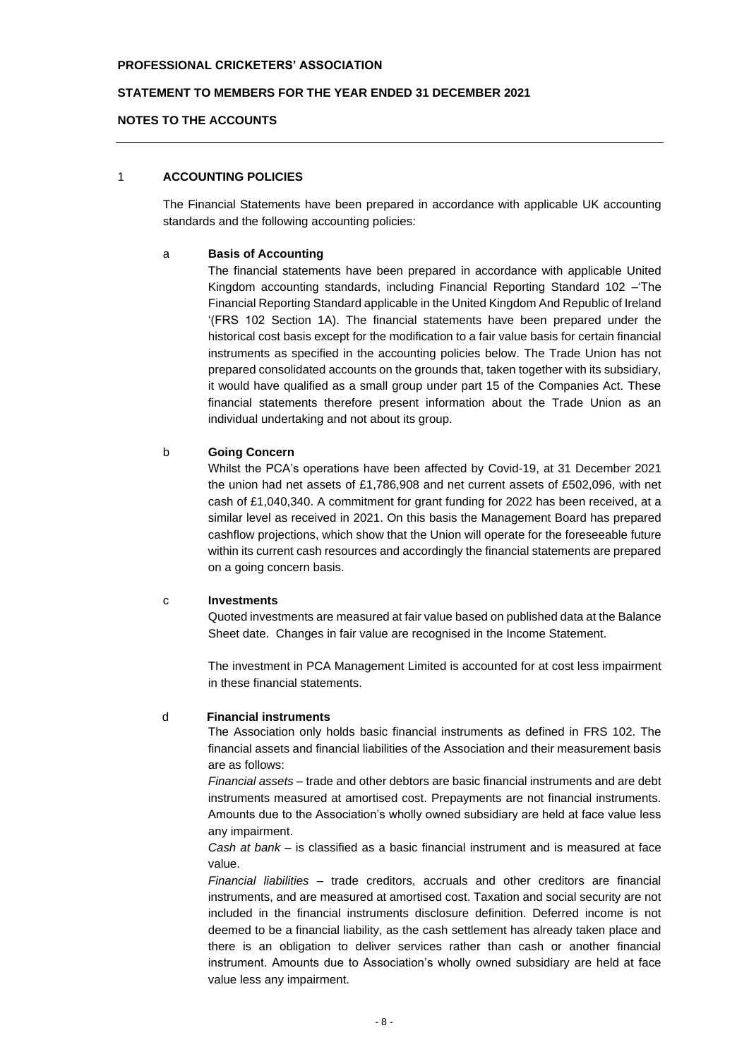### **STATEMENT TO MEMBERS FOR THE YEAR ENDED 31 DECEMBER 2021**

### **NOTES TO THE ACCOUNTS**

## 1 **ACCOUNTING POLICIES**

The Financial Statements have been prepared in accordance with applicable UK accounting standards and the following accounting policies:

## a **Basis of Accounting**

The financial statements have been prepared in accordance with applicable United Kingdom accounting standards, including Financial Reporting Standard 102 –'The Financial Reporting Standard applicable in the United Kingdom And Republic of Ireland '(FRS 102 Section 1A). The financial statements have been prepared under the historical cost basis except for the modification to a fair value basis for certain financial instruments as specified in the accounting policies below. The Trade Union has not prepared consolidated accounts on the grounds that, taken together with its subsidiary, it would have qualified as a small group under part 15 of the Companies Act. These financial statements therefore present information about the Trade Union as an individual undertaking and not about its group.

#### b **Going Concern**

Whilst the PCA's operations have been affected by Covid-19, at 31 December 2021 the union had net assets of £1,786,908 and net current assets of £502,096, with net cash of £1,040,340. A commitment for grant funding for 2022 has been received, at a similar level as received in 2021. On this basis the Management Board has prepared cashflow projections, which show that the Union will operate for the foreseeable future within its current cash resources and accordingly the financial statements are prepared on a going concern basis.

## c **Investments**

Quoted investments are measured at fair value based on published data at the Balance Sheet date. Changes in fair value are recognised in the Income Statement.

The investment in PCA Management Limited is accounted for at cost less impairment in these financial statements.

#### d **Financial instruments**

The Association only holds basic financial instruments as defined in FRS 102. The financial assets and financial liabilities of the Association and their measurement basis are as follows:

*Financial assets* – trade and other debtors are basic financial instruments and are debt instruments measured at amortised cost. Prepayments are not financial instruments. Amounts due to the Association's wholly owned subsidiary are held at face value less any impairment.

*Cash at bank* – is classified as a basic financial instrument and is measured at face value.

*Financial liabilities* – trade creditors, accruals and other creditors are financial instruments, and are measured at amortised cost. Taxation and social security are not included in the financial instruments disclosure definition. Deferred income is not deemed to be a financial liability, as the cash settlement has already taken place and there is an obligation to deliver services rather than cash or another financial instrument. Amounts due to Association's wholly owned subsidiary are held at face value less any impairment.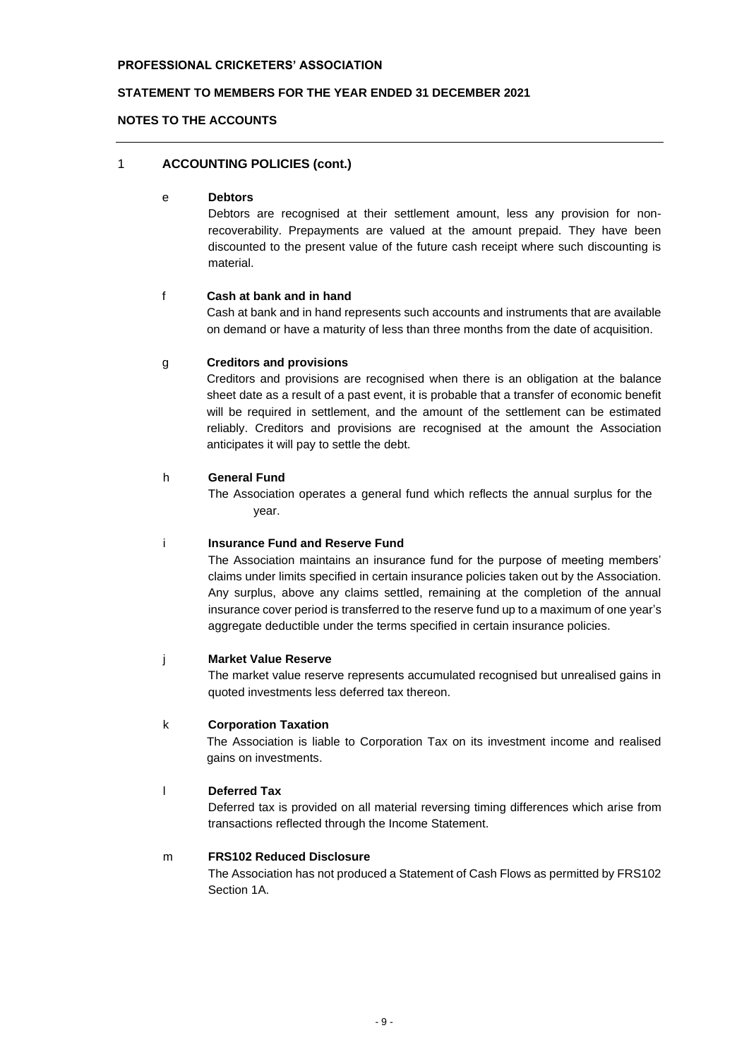# **STATEMENT TO MEMBERS FOR THE YEAR ENDED 31 DECEMBER 2021**

### **NOTES TO THE ACCOUNTS**

# 1 **ACCOUNTING POLICIES (cont.)**

#### e **Debtors**

Debtors are recognised at their settlement amount, less any provision for nonrecoverability. Prepayments are valued at the amount prepaid. They have been discounted to the present value of the future cash receipt where such discounting is material.

#### f **Cash at bank and in hand**

Cash at bank and in hand represents such accounts and instruments that are available on demand or have a maturity of less than three months from the date of acquisition.

#### g **Creditors and provisions**

Creditors and provisions are recognised when there is an obligation at the balance sheet date as a result of a past event, it is probable that a transfer of economic benefit will be required in settlement, and the amount of the settlement can be estimated reliably. Creditors and provisions are recognised at the amount the Association anticipates it will pay to settle the debt.

### h **General Fund**

The Association operates a general fund which reflects the annual surplus for the year.

### i **Insurance Fund and Reserve Fund**

The Association maintains an insurance fund for the purpose of meeting members' claims under limits specified in certain insurance policies taken out by the Association. Any surplus, above any claims settled, remaining at the completion of the annual insurance cover period is transferred to the reserve fund up to a maximum of one year's aggregate deductible under the terms specified in certain insurance policies.

#### j **Market Value Reserve**

The market value reserve represents accumulated recognised but unrealised gains in quoted investments less deferred tax thereon.

### k **Corporation Taxation**

The Association is liable to Corporation Tax on its investment income and realised gains on investments.

## l **Deferred Tax**

Deferred tax is provided on all material reversing timing differences which arise from transactions reflected through the Income Statement.

## m **FRS102 Reduced Disclosure**

The Association has not produced a Statement of Cash Flows as permitted by FRS102 Section 1A.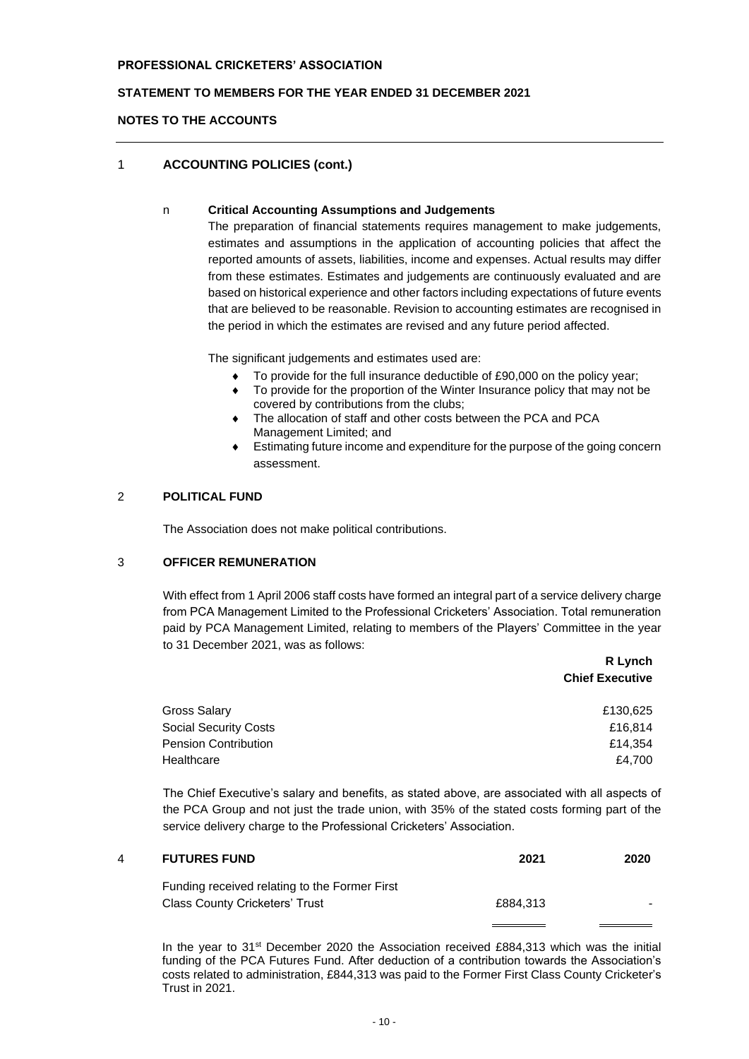# **STATEMENT TO MEMBERS FOR THE YEAR ENDED 31 DECEMBER 2021**

## **NOTES TO THE ACCOUNTS**

# 1 **ACCOUNTING POLICIES (cont.)**

## n **Critical Accounting Assumptions and Judgements**

The preparation of financial statements requires management to make judgements, estimates and assumptions in the application of accounting policies that affect the reported amounts of assets, liabilities, income and expenses. Actual results may differ from these estimates. Estimates and judgements are continuously evaluated and are based on historical experience and other factors including expectations of future events that are believed to be reasonable. Revision to accounting estimates are recognised in the period in which the estimates are revised and any future period affected.

The significant judgements and estimates used are:

- ◆ To provide for the full insurance deductible of £90,000 on the policy year;
- To provide for the proportion of the Winter Insurance policy that may not be covered by contributions from the clubs;
- The allocation of staff and other costs between the PCA and PCA Management Limited; and
- Estimating future income and expenditure for the purpose of the going concern assessment.

# 2 **POLITICAL FUND**

The Association does not make political contributions.

## 3 **OFFICER REMUNERATION**

With effect from 1 April 2006 staff costs have formed an integral part of a service delivery charge from PCA Management Limited to the Professional Cricketers' Association. Total remuneration paid by PCA Management Limited, relating to members of the Players' Committee in the year to 31 December 2021, was as follows:

|                              | R Lynch<br><b>Chief Executive</b> |
|------------------------------|-----------------------------------|
| Gross Salary                 | £130,625                          |
| <b>Social Security Costs</b> | £16,814                           |
| <b>Pension Contribution</b>  | £14,354                           |
| Healthcare                   | £4,700                            |

The Chief Executive's salary and benefits, as stated above, are associated with all aspects of the PCA Group and not just the trade union, with 35% of the stated costs forming part of the service delivery charge to the Professional Cricketers' Association.

| 4 | <b>FUTURES FUND</b>                           | 2021     | 2020 |
|---|-----------------------------------------------|----------|------|
|   | Funding received relating to the Former First |          |      |
|   | <b>Class County Cricketers' Trust</b>         | £884.313 |      |

In the year to 31<sup>st</sup> December 2020 the Association received £884,313 which was the initial funding of the PCA Futures Fund. After deduction of a contribution towards the Association's costs related to administration, £844,313 was paid to the Former First Class County Cricketer's Trust in 2021.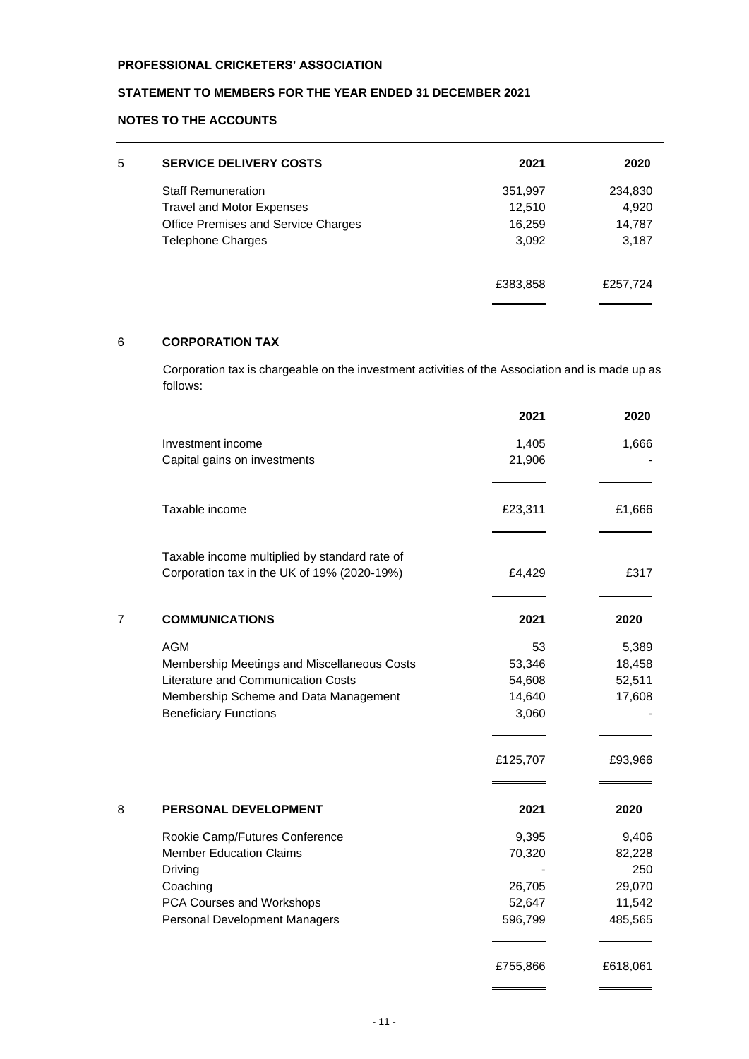# **STATEMENT TO MEMBERS FOR THE YEAR ENDED 31 DECEMBER 2021**

# **NOTES TO THE ACCOUNTS**

| 5 | <b>SERVICE DELIVERY COSTS</b>       | 2021     | 2020     |
|---|-------------------------------------|----------|----------|
|   | <b>Staff Remuneration</b>           | 351,997  | 234,830  |
|   | <b>Travel and Motor Expenses</b>    | 12,510   | 4,920    |
|   | Office Premises and Service Charges | 16,259   | 14,787   |
|   | <b>Telephone Charges</b>            | 3,092    | 3,187    |
|   |                                     |          |          |
|   |                                     | £383,858 | £257,724 |
|   |                                     |          |          |

# 6 **CORPORATION TAX**

Corporation tax is chargeable on the investment activities of the Association and is made up as follows:

|                                               | 2021     | 2020     |
|-----------------------------------------------|----------|----------|
| Investment income                             | 1,405    | 1,666    |
| Capital gains on investments                  | 21,906   |          |
| Taxable income                                | £23,311  | £1,666   |
| Taxable income multiplied by standard rate of |          |          |
| Corporation tax in the UK of 19% (2020-19%)   | £4,429   | £317     |
| 7<br><b>COMMUNICATIONS</b>                    | 2021     | 2020     |
| <b>AGM</b>                                    | 53       | 5,389    |
| Membership Meetings and Miscellaneous Costs   | 53,346   | 18,458   |
| Literature and Communication Costs            | 54,608   | 52,511   |
| Membership Scheme and Data Management         | 14,640   | 17,608   |
| <b>Beneficiary Functions</b>                  | 3,060    |          |
|                                               | £125,707 | £93,966  |
| 8<br>PERSONAL DEVELOPMENT                     | 2021     | 2020     |
| Rookie Camp/Futures Conference                | 9,395    | 9,406    |
| <b>Member Education Claims</b>                | 70,320   | 82,228   |
| Driving                                       |          | 250      |
| Coaching                                      | 26,705   | 29,070   |
| PCA Courses and Workshops                     | 52,647   | 11,542   |
| Personal Development Managers                 | 596,799  | 485,565  |
|                                               | £755,866 | £618,061 |

 $\overline{a}$ 

 $\sim$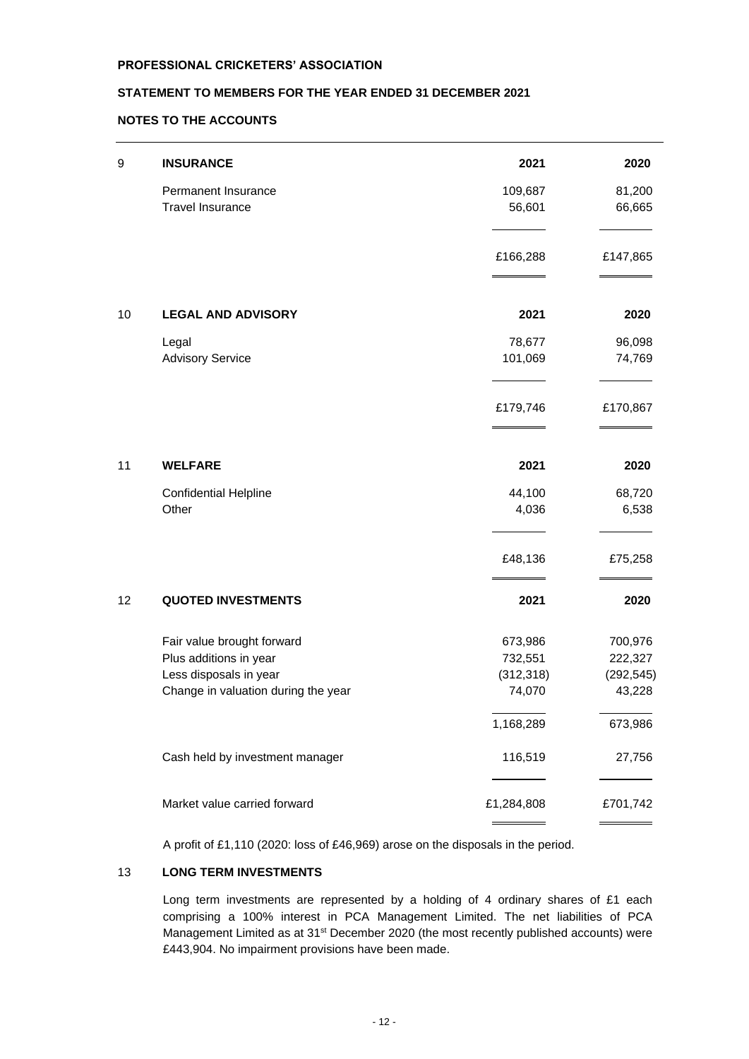# **STATEMENT TO MEMBERS FOR THE YEAR ENDED 31 DECEMBER 2021**

# **NOTES TO THE ACCOUNTS**

| 2021                                                                                                                                                                                                                                                                                                                                                                                                                    | 2020                                             |
|-------------------------------------------------------------------------------------------------------------------------------------------------------------------------------------------------------------------------------------------------------------------------------------------------------------------------------------------------------------------------------------------------------------------------|--------------------------------------------------|
|                                                                                                                                                                                                                                                                                                                                                                                                                         | 81,200                                           |
| 56,601                                                                                                                                                                                                                                                                                                                                                                                                                  | 66,665                                           |
| £166,288                                                                                                                                                                                                                                                                                                                                                                                                                | £147,865                                         |
| 2021                                                                                                                                                                                                                                                                                                                                                                                                                    | 2020                                             |
|                                                                                                                                                                                                                                                                                                                                                                                                                         | 96,098                                           |
| 101,069                                                                                                                                                                                                                                                                                                                                                                                                                 | 74,769                                           |
| £179,746                                                                                                                                                                                                                                                                                                                                                                                                                | £170,867                                         |
| 2021                                                                                                                                                                                                                                                                                                                                                                                                                    | 2020                                             |
|                                                                                                                                                                                                                                                                                                                                                                                                                         | 68,720                                           |
| 4,036                                                                                                                                                                                                                                                                                                                                                                                                                   | 6,538                                            |
| £48,136                                                                                                                                                                                                                                                                                                                                                                                                                 | £75,258                                          |
| 2021                                                                                                                                                                                                                                                                                                                                                                                                                    | 2020                                             |
|                                                                                                                                                                                                                                                                                                                                                                                                                         | 700,976                                          |
| 732,551                                                                                                                                                                                                                                                                                                                                                                                                                 | 222,327                                          |
| (312, 318)                                                                                                                                                                                                                                                                                                                                                                                                              | (292, 545)                                       |
|                                                                                                                                                                                                                                                                                                                                                                                                                         | 43,228                                           |
| 1,168,289                                                                                                                                                                                                                                                                                                                                                                                                               | 673,986                                          |
| 116,519                                                                                                                                                                                                                                                                                                                                                                                                                 | 27,756                                           |
| £1,284,808                                                                                                                                                                                                                                                                                                                                                                                                              | £701,742                                         |
| <b>INSURANCE</b><br>Permanent Insurance<br><b>Travel Insurance</b><br><b>LEGAL AND ADVISORY</b><br>Legal<br><b>Advisory Service</b><br><b>WELFARE</b><br><b>Confidential Helpline</b><br>Other<br><b>QUOTED INVESTMENTS</b><br>Fair value brought forward<br>Plus additions in year<br>Less disposals in year<br>Change in valuation during the year<br>Cash held by investment manager<br>Market value carried forward | 109,687<br>78,677<br>44,100<br>673,986<br>74,070 |

A profit of £1,110 (2020: loss of £46,969) arose on the disposals in the period.

# 13 **LONG TERM INVESTMENTS**

Long term investments are represented by a holding of 4 ordinary shares of £1 each comprising a 100% interest in PCA Management Limited. The net liabilities of PCA Management Limited as at 31<sup>st</sup> December 2020 (the most recently published accounts) were £443,904. No impairment provisions have been made.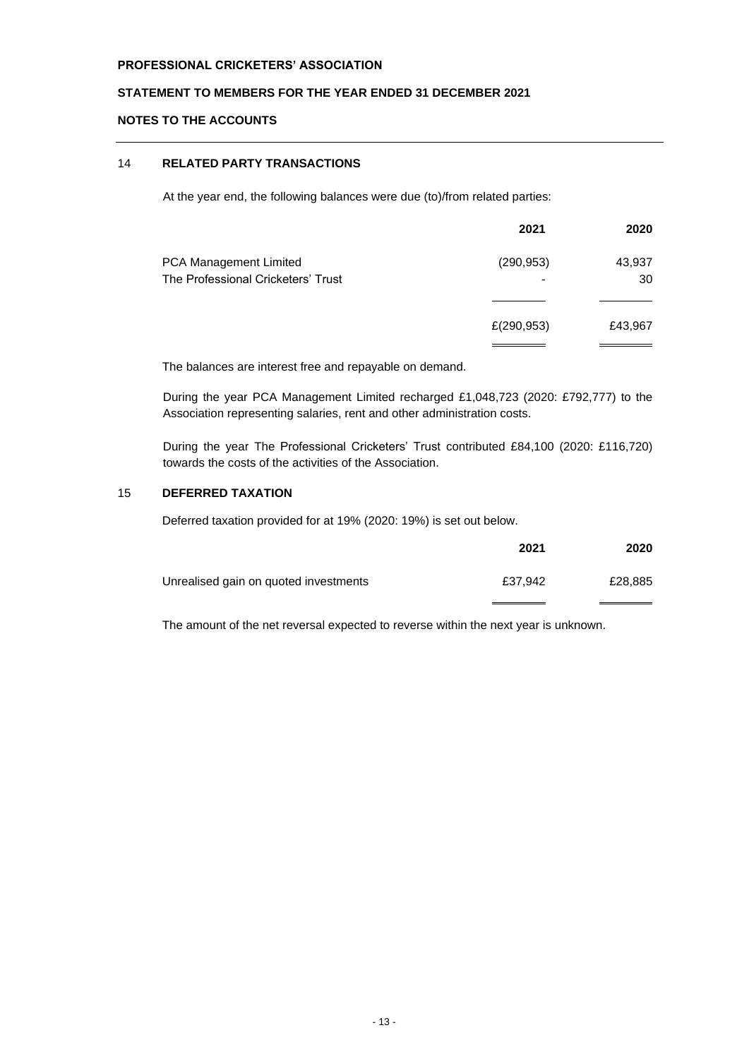**STATEMENT TO MEMBERS FOR THE YEAR ENDED 31 DECEMBER 2021**

# **NOTES TO THE ACCOUNTS**

# 14 **RELATED PARTY TRANSACTIONS**

At the year end, the following balances were due (to)/from related parties:

|                                    | 2021       | 2020    |
|------------------------------------|------------|---------|
| PCA Management Limited             | (290, 953) | 43,937  |
| The Professional Cricketers' Trust |            | 30      |
|                                    |            |         |
|                                    | £(290,953) | £43,967 |
|                                    |            |         |

The balances are interest free and repayable on demand.

During the year PCA Management Limited recharged £1,048,723 (2020: £792,777) to the Association representing salaries, rent and other administration costs.

During the year The Professional Cricketers' Trust contributed £84,100 (2020: £116,720) towards the costs of the activities of the Association.

# 15 **DEFERRED TAXATION**

Deferred taxation provided for at 19% (2020: 19%) is set out below.

|                                       | 2021    | 2020    |
|---------------------------------------|---------|---------|
| Unrealised gain on quoted investments | £37.942 | £28,885 |
|                                       |         |         |

The amount of the net reversal expected to reverse within the next year is unknown.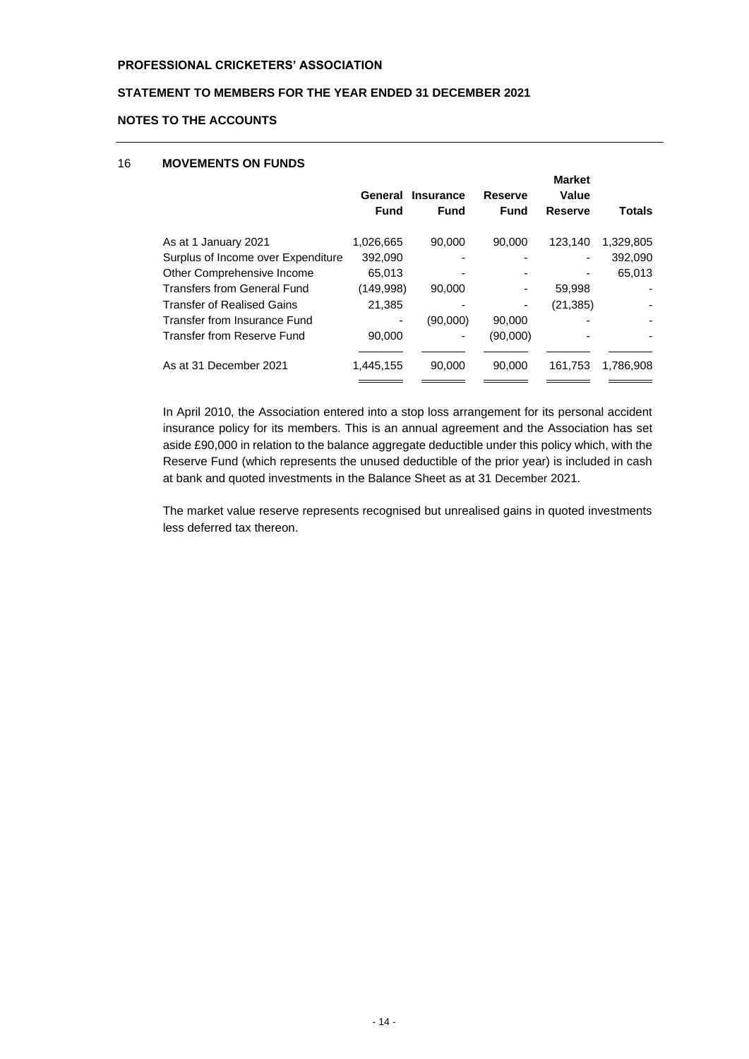# **STATEMENT TO MEMBERS FOR THE YEAR ENDED 31 DECEMBER 2021**

## **NOTES TO THE ACCOUNTS**

## 16 **MOVEMENTS ON FUNDS**

|                                    |             | General Insurance | <b>Reserve</b> | <b>Market</b><br>Value       |               |
|------------------------------------|-------------|-------------------|----------------|------------------------------|---------------|
|                                    | <b>Fund</b> | <b>Fund</b>       | Fund           | <b>Reserve</b>               | <b>Totals</b> |
| As at 1 January 2021               | 1,026,665   | 90,000            | 90,000         | 123.140                      | 1,329,805     |
| Surplus of Income over Expenditure | 392,090     |                   |                | $\qquad \qquad \blacksquare$ | 392,090       |
| Other Comprehensive Income         | 65,013      |                   |                | ٠                            | 65,013        |
| <b>Transfers from General Fund</b> | (149,998)   | 90,000            |                | 59,998                       |               |
| <b>Transfer of Realised Gains</b>  | 21,385      |                   |                | (21, 385)                    |               |
| Transfer from Insurance Fund       | ٠           | (90,000)          | 90,000         |                              |               |
| Transfer from Reserve Fund         | 90,000      |                   | (90,000)       |                              |               |
| As at 31 December 2021             | 1,445,155   | 90,000            | 90,000         | 161,753                      | 1,786,908     |

In April 2010, the Association entered into a stop loss arrangement for its personal accident insurance policy for its members. This is an annual agreement and the Association has set aside £90,000 in relation to the balance aggregate deductible under this policy which, with the Reserve Fund (which represents the unused deductible of the prior year) is included in cash at bank and quoted investments in the Balance Sheet as at 31 December 2021.

The market value reserve represents recognised but unrealised gains in quoted investments less deferred tax thereon.